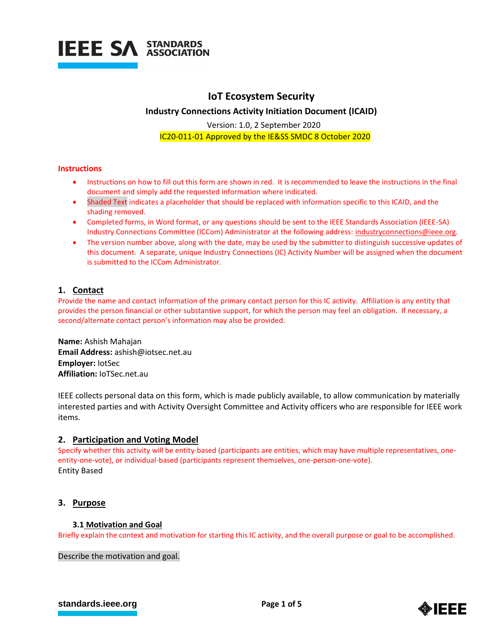

## **IoT Ecosystem Security**

**Industry Connections Activity Initiation Document (ICAID)**

Version: 1.0, 2 September 2020 IC20-011-01 Approved by the IE&SS SMDC 8 October 2020

#### **Instructions**

- Instructions on how to fill out this form are shown in red. It is recommended to leave the instructions in the final document and simply add the requested information where indicated.
- Shaded Text indicates a placeholder that should be replaced with information specific to this ICAID, and the shading removed.
- Completed forms, in Word format, or any questions should be sent to the IEEE Standards Association (IEEE-SA) Industry Connections Committee (ICCom) Administrator at the following address: [industryconnections@ieee.org.](mailto:industryconnections@ieee.org)
- The version number above, along with the date, may be used by the submitter to distinguish successive updates of this document. A separate, unique Industry Connections (IC) Activity Number will be assigned when the document is submitted to the ICCom Administrator.

## **1. Contact**

Provide the name and contact information of the primary contact person for this IC activity. Affiliation is any entity that provides the person financial or other substantive support, for which the person may feel an obligation. If necessary, a second/alternate contact person's information may also be provided.

**Name:** Ashish Mahajan **Email Address:** ashish@iotsec.net.au **Employer:** IotSec **Affiliation:** IoTSec.net.au

IEEE collects personal data on this form, which is made publicly available, to allow communication by materially interested parties and with Activity Oversight Committee and Activity officers who are responsible for IEEE work items.

## **2. Participation and Voting Model**

Specify whether this activity will be entity-based (participants are entities, which may have multiple representatives, oneentity-one-vote), or individual-based (participants represent themselves, one-person-one-vote). Entity Based

## **3. Purpose**

## **3.1 Motivation and Goal**

Briefly explain the context and motivation for starting this IC activity, and the overall purpose or goal to be accomplished.

Describe the motivation and goal.

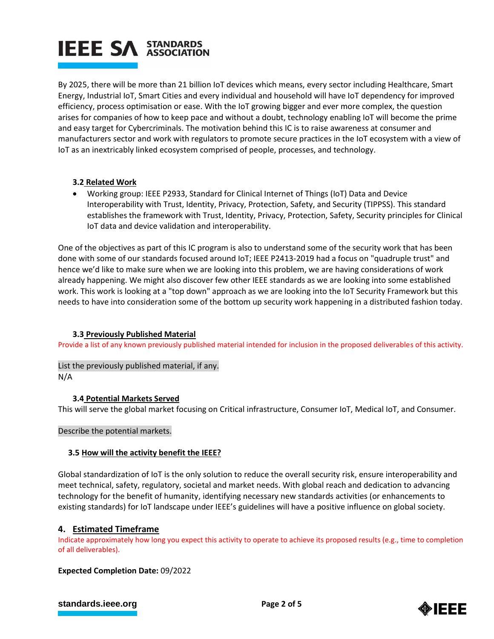# **IEEE SA STANDARDS**

By 2025, there will be more than 21 billion IoT devices which means, every sector including Healthcare, Smart Energy, Industrial IoT, Smart Cities and every individual and household will have IoT dependency for improved efficiency, process optimisation or ease. With the IoT growing bigger and ever more complex, the question arises for companies of how to keep pace and without a doubt, technology enabling IoT will become the prime and easy target for Cybercriminals. The motivation behind this IC is to raise awareness at consumer and manufacturers sector and work with regulators to promote secure practices in the IoT ecosystem with a view of IoT as an inextricably linked ecosystem comprised of people, processes, and technology.

## **3.2 Related Work**

 Working group: IEEE P2933, Standard for Clinical Internet of Things (IoT) Data and Device Interoperability with Trust, Identity, Privacy, Protection, Safety, and Security (TIPPSS). This standard establishes the framework with Trust, Identity, Privacy, Protection, Safety, Security principles for Clinical IoT data and device validation and interoperability.

One of the objectives as part of this IC program is also to understand some of the security work that has been done with some of our standards focused around IoT; IEEE P2413-2019 had a focus on "quadruple trust" and hence we'd like to make sure when we are looking into this problem, we are having considerations of work already happening. We might also discover few other IEEE standards as we are looking into some established work. This work is looking at a "top down" approach as we are looking into the IoT Security Framework but this needs to have into consideration some of the bottom up security work happening in a distributed fashion today.

## **3.3 Previously Published Material**

Provide a list of any known previously published material intended for inclusion in the proposed deliverables of this activity.

List the previously published material, if any. N/A

## **3.4 Potential Markets Served**

This will serve the global market focusing on Critical infrastructure, Consumer IoT, Medical IoT, and Consumer.

Describe the potential markets.

## **3.5 How will the activity benefit the IEEE?**

Global standardization of IoT is the only solution to reduce the overall security risk, ensure interoperability and meet technical, safety, regulatory, societal and market needs. With global reach and dedication to advancing technology for the benefit of humanity, identifying necessary new standards activities (or enhancements to existing standards) for IoT landscape under IEEE's guidelines will have a positive influence on global society.

## **4. Estimated Timeframe**

Indicate approximately how long you expect this activity to operate to achieve its proposed results (e.g., time to completion of all deliverables).

## **Expected Completion Date:** 09/2022

## **[standards.ieee.org](http://standards.ieee.org/) EXECUTE: Page 2 of 5**

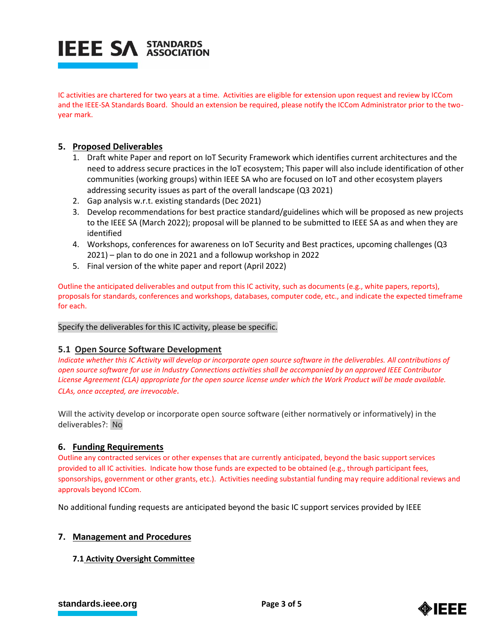

IC activities are chartered for two years at a time. Activities are eligible for extension upon request and review by ICCom and the IEEE-SA Standards Board. Should an extension be required, please notify the ICCom Administrator prior to the twoyear mark.

## **5. Proposed Deliverables**

- 1. Draft white Paper and report on IoT Security Framework which identifies current architectures and the need to address secure practices in the IoT ecosystem; This paper will also include identification of other communities (working groups) within IEEE SA who are focused on IoT and other ecosystem players addressing security issues as part of the overall landscape (Q3 2021)
- 2. Gap analysis w.r.t. existing standards (Dec 2021)
- 3. Develop recommendations for best practice standard/guidelines which will be proposed as new projects to the IEEE SA (March 2022); proposal will be planned to be submitted to IEEE SA as and when they are identified
- 4. Workshops, conferences for awareness on IoT Security and Best practices, upcoming challenges (Q3 2021) – plan to do one in 2021 and a followup workshop in 2022
- 5. Final version of the white paper and report (April 2022)

Outline the anticipated deliverables and output from this IC activity, such as documents (e.g., white papers, reports), proposals for standards, conferences and workshops, databases, computer code, etc., and indicate the expected timeframe for each.

## Specify the deliverables for this IC activity, please be specific.

## **5.1 Open Source Software Development**

*Indicate whether this IC Activity will develop or incorporate open source software in the deliverables. All contributions of open source software for use in Industry Connections activities shall be accompanied by an approved IEEE Contributor License Agreement (CLA) appropriate for the open source license under which the Work Product will be made available. CLAs, once accepted, are irrevocable.*

Will the activity develop or incorporate open source software (either normatively or informatively) in the deliverables?: No

## **6. Funding Requirements**

Outline any contracted services or other expenses that are currently anticipated, beyond the basic support services provided to all IC activities. Indicate how those funds are expected to be obtained (e.g., through participant fees, sponsorships, government or other grants, etc.). Activities needing substantial funding may require additional reviews and approvals beyond ICCom.

No additional funding requests are anticipated beyond the basic IC support services provided by IEEE

## **7. Management and Procedures**

## **7.1 Activity Oversight Committee**

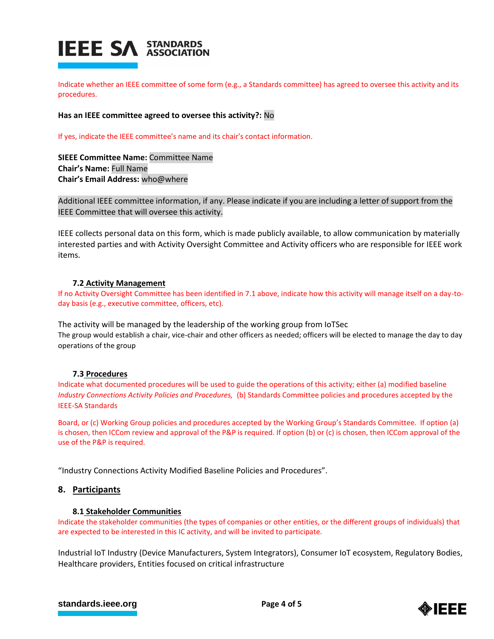

Indicate whether an IEEE committee of some form (e.g., a Standards committee) has agreed to oversee this activity and its procedures.

**Has an IEEE committee agreed to oversee this activity?:** No

If yes, indicate the IEEE committee's name and its chair's contact information.

**SIEEE Committee Name:** Committee Name **Chair's Name:** Full Name **Chair's Email Address:** who@where

Additional IEEE committee information, if any. Please indicate if you are including a letter of support from the IEEE Committee that will oversee this activity.

IEEE collects personal data on this form, which is made publicly available, to allow communication by materially interested parties and with Activity Oversight Committee and Activity officers who are responsible for IEEE work items.

#### **7.2 Activity Management**

If no Activity Oversight Committee has been identified in 7.1 above, indicate how this activity will manage itself on a day-today basis (e.g., executive committee, officers, etc).

The activity will be managed by the leadership of the working group from IoTSec The group would establish a chair, vice-chair and other officers as needed; officers will be elected to manage the day to day operations of the group

#### **7.3 Procedures**

Indicate what documented procedures will be used to guide the operations of this activity; either (a) modified baseline *Industry Connections Activity Policies and Procedures,* (b) Standards Committee policies and procedures accepted by the IEEE-SA Standards

Board, or (c) Working Group policies and procedures accepted by the Working Group's Standards Committee. If option (a) is chosen, then ICCom review and approval of the P&P is required. If option (b) or (c) is chosen, then ICCom approval of the use of the P&P is required.

"Industry Connections Activity Modified Baseline Policies and Procedures".

## **8. Participants**

#### **8.1 Stakeholder Communities**

Indicate the stakeholder communities (the types of companies or other entities, or the different groups of individuals) that are expected to be interested in this IC activity, and will be invited to participate.

Industrial IoT Industry (Device Manufacturers, System Integrators), Consumer IoT ecosystem, Regulatory Bodies, Healthcare providers, Entities focused on critical infrastructure

## **[standards.ieee.org](http://standards.ieee.org/) EXECUTE: Page 4 of 5**